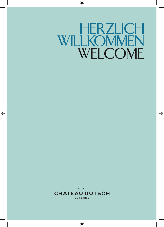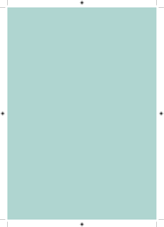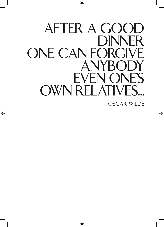# AFTER A GOOD DINNER ONE CAN FORGIVE ANYBODY EVEN ONE'S OWN RELATIVES…

 $\bigoplus$ 

 $\bigoplus$ 

 $\bigoplus$ 

OSCAR WILDE

⊕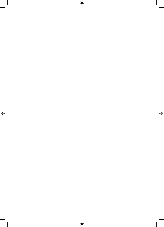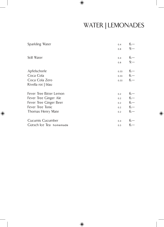# WATER | LEMONADES

 $\bigoplus$ 

| Sparkling Water                                                                                                     | 0.4<br>0.8                      | $6 -$<br>$9 -$                            |
|---------------------------------------------------------------------------------------------------------------------|---------------------------------|-------------------------------------------|
| Still Water                                                                                                         | 0.4<br>0.8                      | $6 -$<br>$9 -$                            |
| Apfelschorle                                                                                                        | 0.33                            | $6 -$                                     |
| Coca Cola<br>Coca Cola Zero<br>Rivella rot   blau                                                                   | 0.33<br>0.33                    | $6 -$<br>$6 -$                            |
| Fever Tree Bitter Lemon<br>Fever Tree Ginger Ale<br>Fever Tree Ginger Beer<br>Fever Tree Tonic<br>Thomas Henry Mate | 0.2<br>0.2<br>0.2<br>0.2<br>0.2 | $6 -$<br>$6 -$<br>$6 -$<br>$6 -$<br>$6 -$ |
| Cucumis Cucumber<br>Gütsch Ice Tea homemade                                                                         | 0.4<br>0.3                      | $6 -$<br>$6 -$                            |

 $\bigoplus$ 

 $\bigoplus$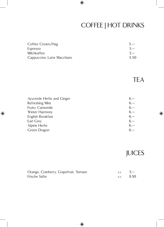### $\bigoplus$

# COFFEE | HOT DRINKS

| Coffee Cream/Hag            | $5 -$ |
|-----------------------------|-------|
| Espresso                    | $5 -$ |
| Milchkaffee                 | $5 -$ |
| Cappuccino, Latte Macchiato | 5.50  |

 $\bigoplus$ 

| Ayuverde Herbs and Ginger | $6 -$ |
|---------------------------|-------|
| Refreshing Mint           | $6 -$ |
| Fruity Camomile           | $6 -$ |
| Winter Harmony            | $6 -$ |
| English Breakfast         | $6 -$ |
| Earl Grey                 | $6 -$ |
| Alpine Herbs              | $6 -$ |
| Green Dragon              | $6 -$ |

 $\bigoplus$ 

# JUICES

| Orange, Cranberry, Grapefruit, Tomato | $02 \t 5 -$ |      |
|---------------------------------------|-------------|------|
| Frische Safte                         |             | 8.50 |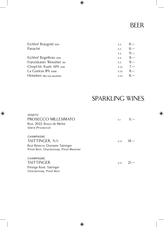### BEER

 $\bigoplus$ 

| Panaché<br>0.3<br>0.5<br>Eichhof Bügelbräu (сн)<br>0.4<br>Franziskaner Weissbier (D)<br>0.5<br>ChopfAb Trueb APA (сн)<br>0.33<br>La Gunitas IPA (USA)<br>0.35<br>Heineken (NL) non alcoholic<br>0.33 | Eichhof Braugold (сн) | 0.3 | $6 -$ |
|------------------------------------------------------------------------------------------------------------------------------------------------------------------------------------------------------|-----------------------|-----|-------|
|                                                                                                                                                                                                      |                       |     | $6 -$ |
|                                                                                                                                                                                                      |                       |     | $9 -$ |
|                                                                                                                                                                                                      |                       |     | $8 -$ |
|                                                                                                                                                                                                      |                       |     | $9 -$ |
|                                                                                                                                                                                                      |                       |     | $7 -$ |
|                                                                                                                                                                                                      |                       |     | $8 -$ |
|                                                                                                                                                                                                      |                       |     |       |

 $\bigoplus$ 

### SPARKLING WINES

| <b>VENETO</b><br>PROSECCO MILLESIMATO<br>Brut, 2022, Bosco de Merlot<br>Glera (Prosecco)                   | 0.1  |        |
|------------------------------------------------------------------------------------------------------------|------|--------|
| CHAMPAGNE<br>TAITTINGER, N.V.<br>Brut Réserve, Domaine Taittinger<br>Pinot Noir, Chardonnay, Pinot Meunier | 0.13 | $18 -$ |
| CHAMPAGNE<br><b>TAITTINGER</b><br>Préstige Rosé, Taittinger<br>Chardonnay, Pinot Noir                      | 0.13 | $21 -$ |

 $\bigoplus$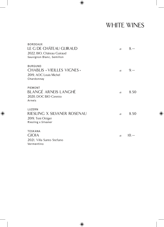### WHITE WINES

 $\bigoplus$ 

| <b>BORDEAUX</b><br>LE G DE CHÂTEAU GUIRAUD<br>2022, BIO, Château Guiraud<br>Sauvignon Blanc, Semillon | $d\mathsf{l}$ | $8 -$  |
|-------------------------------------------------------------------------------------------------------|---------------|--------|
| <b>BURGUND</b><br><b>CHABLIS « VIEILLES VIGNES »</b><br>2019, AOC Louis Michel<br>Chardonnay          | $d\mathsf{l}$ | $9 -$  |
| <b>PIEMONT</b><br><b>BLANGÉ ARNEIS LANGHÉ</b><br>2020, DOC BIO Ceretto<br>Arneis                      | $d\mathsf{l}$ | 8.50   |
| <b>IUZFRN</b><br>RIESLING X SILVANER ROSENAU<br>2019, Toni Ottiger<br>Riesling x Silvaner             | $d\mathsf{l}$ | 8.50   |
| <b>TOSKANA</b><br><b>GIOIA</b><br>2021, Villa Santo Stefano<br>Vermentino                             | d             | $10 -$ |

 $\bigoplus$ 

 $\bigoplus$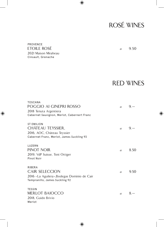# ROSÉ WINES

PROVENCE ETOILE ROSÉ du 9.50 2021 Maison Mirabeau Cinsault, Grenache

 $\bigoplus$ 

### RED WINES

 $\bigoplus$ 

| <b>TOSCANA</b><br>POGGIO AI GINEPRI ROSSO<br>2018 Tenuta Argentiera<br>Cabernet Sauvignon, Merlot, Cabernert Franc      | dl | $9 -$ |
|-------------------------------------------------------------------------------------------------------------------------|----|-------|
| <b>ST EMILION</b><br>CHÂTEAU TEYSSIER,<br>2016, AOC, Château Teyssier<br>Cabernet Franc, Merlot, James Suckling 93      | dl | $9 -$ |
| LUZERN<br>PINOT NOIR<br>2019, VdP Suisse, Toni Ottiger<br>Pinot Noir                                                    | dl | 8.50  |
| <b>RIBERA</b><br><b>CAIR SELECCION</b><br>2016 «La Aguilera», Bodegas Dominio de Cair<br>Tempranillo, James Suckling 92 | dl | 9.50  |
| <b>TESSIN</b><br><b>MERLOT BAIOCCO</b><br>2018, Guido Brivio<br>Merlot                                                  | dl | $8 -$ |

 $\bigoplus$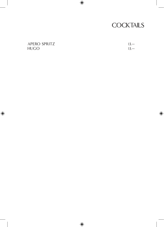## **COCKTAILS**

#### APERO SPRITZ **HUGO**

 $\bigoplus$ 

 $\bigoplus$ 

 $\bigoplus$ 

 $13 13 -$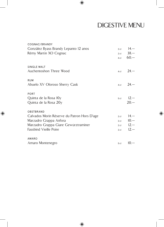## DIGESTIVE MENU

 $\bigoplus$ 

| COGNAC/BRANDY                               |                 |         |
|---------------------------------------------|-----------------|---------|
| Gonzàlez Byass Brandy Lepanto 12 anos       | 2 <sub>cl</sub> | $14 -$  |
| Rémy Martin XO Cognac                       | 2 <sub>cl</sub> | $38 -$  |
|                                             | 4 <sub>cl</sub> | $60 -$  |
| SINGLE MALT                                 |                 |         |
| Auchentoshon Three Wood                     | 4 <sub>cl</sub> | $24 -$  |
| <b>RUM</b>                                  |                 |         |
| Abuelo XV Oloroso Sherry Cask               | 4 <sub>cl</sub> | $24 -$  |
| <b>PORT</b>                                 |                 |         |
| Quinta de la Rosa 10y                       | 5 <sub>cl</sub> | $12 -$  |
| Quinta de la Rosa 20y                       |                 | $20 -$  |
| OBSTBRAND                                   |                 |         |
| Calvados Morin Réserve du Patron Hors D'age | $2$ cl          | $14. -$ |
| Marzadro Grappa Anfora                      | $2$ cl          | $10 -$  |
| Marzadro Grappa Giare Gewürztraminer        | 2 <sub>cl</sub> | $12 -$  |
| <b>Fassbind Vieille Poire</b>               | 2 <sub>cl</sub> | $12 -$  |
| AMARO                                       |                 |         |
| Amaro Montenegro                            | 5 <sub>cl</sub> | $10 -$  |

 $\bigoplus$ 

 $\bigoplus$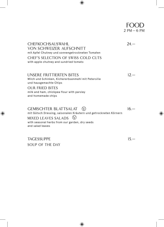#### FOOD 2 PM — 6 PM

CHEFKOCHSAUSWAHL 24.— VON SCHWEIZER AUFSCHNITT mit Apfel Chutney und sonnengetrockneten Tomaten CHEF'S SELECTION OF SWISS COLD CUTS with apple chutney and sundried tomato

 $\bigoplus$ 

#### UNSERE FRITTIERTEN BITES 12.

Milch und Schinken, Kichererbsenmehl mit Petersilie und hausgemachte Chips

OUR FRIED BITES milk and ham, chickpea flour with parsley and homemade chips

#### GEMISCHTER BLATTSALAT  $\heartsuit$  16.

 $\bigoplus$ 

mit Gütsch Dressing, saisonalen Kräutern und getrockneten Körnern MIXED LEAVES SALADS  $\heartsuit$ with seasonal herbs from our garden, dry seeds and salad leaves

TAGESSUPPE 15.— SOUP OF THE DAY

⊕

♠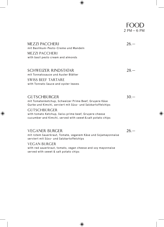#### FOOD 2 PM — 6 PM

MEZZI PACCHERI 26. mit Basilikum-Pesto-Creme und Mandeln MEZZI PACCHERI with basil pesto cream and almonds

 $\bigoplus$ 

#### SCHWEIZER RINDSTATAR 28. mit Tonnatosauce und Auster Blätter

SWISS BEEF TARTARE with Tonnato Sauce and oyster leaves

#### GÜTSCHBÜRGER 30.—

mit Tomatenketchup, Schweizer Prime Beef, Gruyere Käse Gurke und Kimchi, serviert mit Süss- und Salzkartoffelchips

#### GÜTSCHBÜRGER

⊕

with tomato Ketchup, Swiss prime beef, Gruyere cheese cucumber and Kimchi, served with sweet & salt potato chips

#### VEGANER BURGER 26.—

mit rotem Sauerkraut, Tomate, veganem Käse und Sojamayonnaise serviert mit Süss- und Salzkartoffelchips

#### VEGAN BURGER

with red sauerkraut, tomato, vegan cheese and soy mayonnaise served with sweet & salt potato chips

 $\bigoplus$ 

⊕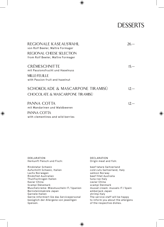### **DESSERTS**

⊕

| REGIONALE KÄSEAUSWAHL<br>von Rolf Beeler, Maître Formager<br>REGIONAL CHEESE SELECTION<br>from Rolf Beeler, Maître Formager | $26 -$ |
|-----------------------------------------------------------------------------------------------------------------------------|--------|
| CRÈMESCHNITTE<br>mit Passionsfrucht und Haselnuss<br>MILLE-FEUILLE<br>with Passion fruit and hazelnut                       | $15 -$ |
| SCHOKOLADE & MASCARPONE TIRAMISÙ<br>CHOCOLATE & MASCARPONE TIRAMISÙ                                                         | $12 -$ |
| PANNA COTTA<br>mit Mandarinen und Waldbeeren<br>PANNA COTTA<br>with clementines and wild berries                            | 12 -   |

 $\bigoplus$ 

 $\bigoplus$ 

DEKLARATION Herkunft Fleisch und Fisch:

 $\bigoplus$ 

Rindstatar Schweiz Aufschnitt Schweiz, Italien Lachs Norwegen Rindsfilet Australien Thunfischrogen Italien Kaviar China Scampi Dänemark Muschelcreme: Miesmuscheln IT / Spanien Bernsteinmakrele Japan Garnele Italien Gerne informiert Sie das Servicepersonal bezüglich der Allergene von jeweiligen Speisen.

DECLARATION Origin meat and fish:

beef tatare Switzerland cold cuts Switzerland, Italy salmon Norway beef fillet Australia tuna roe Italy caviar China scampi Denmark mussel cream: mussels IT / Spain amberjack Japan shrimp Italy The service staff will be happy to inform you about the allergens of the respective dishes.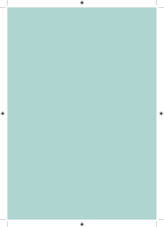